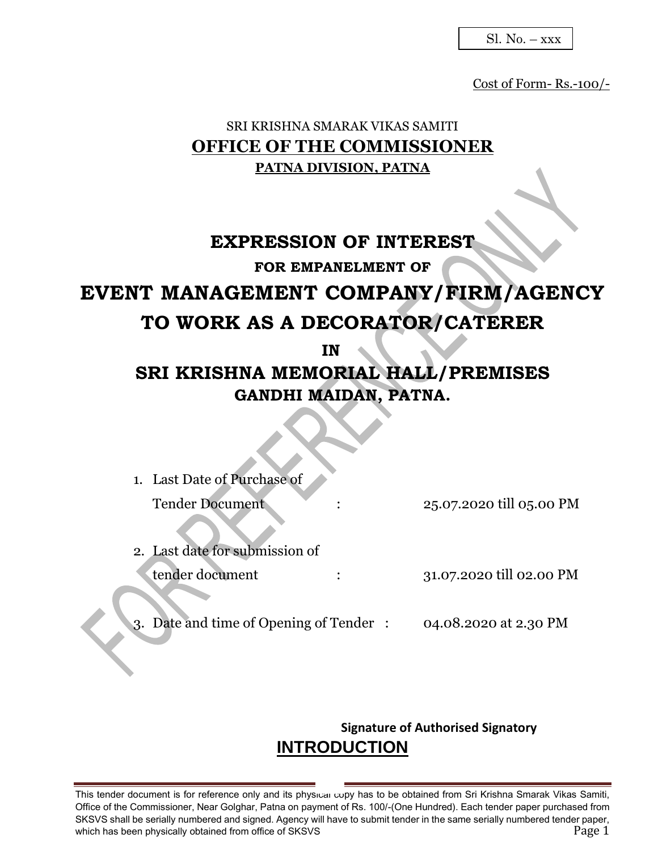Sl. No. – xxx

Cost of Form- Rs.-100/-

## SRI KRISHNA SMARAK VIKAS SAMITI **OFFICE OF THE COMMISSIONER PATNA DIVISION, PATNA**

# **EXPRESSION OF INTEREST FOR EMPANELMENT OF EVENT MANAGEMENT COMPANY/FIRM/AGENCY TO WORK AS A DECORATOR/CATERER IN**

# **SRI KRISHNA MEMORIAL HALL/PREMISES GANDHI MAIDAN, PATNA.**

| 1. Last Date of Purchase of               |                          |
|-------------------------------------------|--------------------------|
| <b>Tender Document</b>                    | 25.07.2020 till 05.00 PM |
| 2. Last date for submission of            |                          |
| tender document                           | 31.07.2020 till 02.00 PM |
| Date and time of Opening of Tender:<br>3. | 04.08.2020 at 2.30 PM    |

## **Signature of Authorised Signatory INTRODUCTION**

This tender document is for reference only and its physical copy has to be obtained from Sri Krishna Smarak Vikas Samiti, Office of the Commissioner, Near Golghar, Patna on payment of Rs. 100/-(One Hundred). Each tender paper purchased from SKSVS shall be serially numbered and signed. Agency will have to submit tender in the same serially numbered tender paper, which has been physically obtained from office of SKSVS **Page 1** and the state of  $\frac{1}{2}$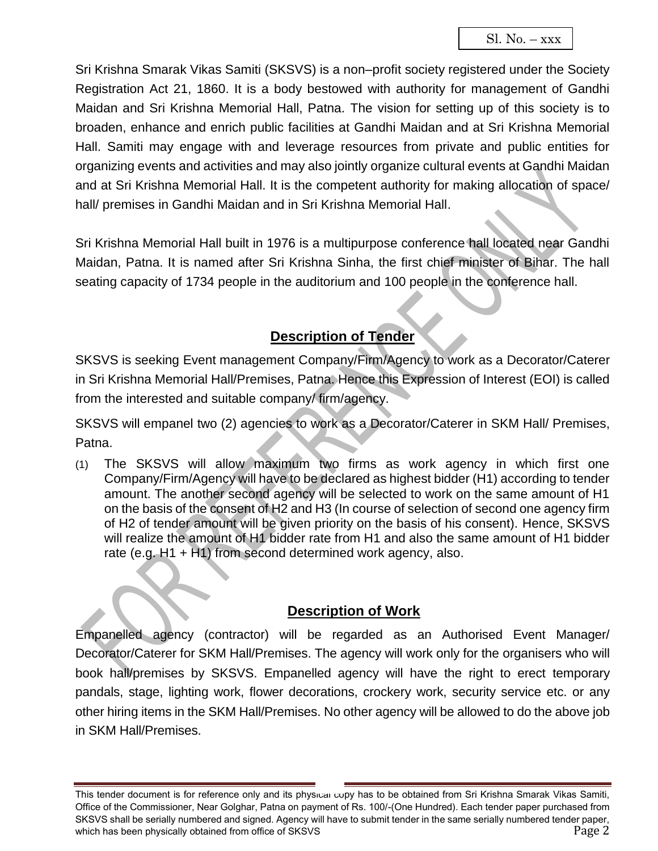Sri Krishna Smarak Vikas Samiti (SKSVS) is a non–profit society registered under the Society Registration Act 21, 1860. It is a body bestowed with authority for management of Gandhi Maidan and Sri Krishna Memorial Hall, Patna. The vision for setting up of this society is to broaden, enhance and enrich public facilities at Gandhi Maidan and at Sri Krishna Memorial Hall. Samiti may engage with and leverage resources from private and public entities for organizing events and activities and may also jointly organize cultural events at Gandhi Maidan and at Sri Krishna Memorial Hall. It is the competent authority for making allocation of space/ hall/ premises in Gandhi Maidan and in Sri Krishna Memorial Hall.

Sri Krishna Memorial Hall built in 1976 is a multipurpose conference hall located near Gandhi Maidan, Patna. It is named after Sri Krishna Sinha, the first chief minister of Bihar. The hall seating capacity of 1734 people in the auditorium and 100 people in the conference hall.

## **Description of Tender**

SKSVS is seeking Event management Company/Firm/Agency to work as a Decorator/Caterer in Sri Krishna Memorial Hall/Premises, Patna. Hence this Expression of Interest (EOI) is called from the interested and suitable company/ firm/agency.

SKSVS will empanel two (2) agencies to work as a Decorator/Caterer in SKM Hall/ Premises, Patna.

(1) The SKSVS will allow maximum two firms as work agency in which first one Company/Firm/Agency will have to be declared as highest bidder (H1) according to tender amount. The another second agency will be selected to work on the same amount of H1 on the basis of the consent of H2 and H3 (In course of selection of second one agency firm of H2 of tender amount will be given priority on the basis of his consent). Hence, SKSVS will realize the amount of H1 bidder rate from H1 and also the same amount of H1 bidder rate (e.g. H1 + H1) from second determined work agency, also.

## **Description of Work**

Empanelled agency (contractor) will be regarded as an Authorised Event Manager/ Decorator/Caterer for SKM Hall/Premises. The agency will work only for the organisers who will book hall/premises by SKSVS. Empanelled agency will have the right to erect temporary pandals, stage, lighting work, flower decorations, crockery work, security service etc. or any other hiring items in the SKM Hall/Premises. No other agency will be allowed to do the above job in SKM Hall/Premises.

This tender document is for reference only and its physical copy has to be obtained from Sri Krishna Smarak Vikas Samiti, Office of the Commissioner, Near Golghar, Patna on payment of Rs. 100/-(One Hundred). Each tender paper purchased from SKSVS shall be serially numbered and signed. Agency will have to submit tender in the same serially numbered tender paper, which has been physically obtained from office of SKSVS **Page 2** Page 2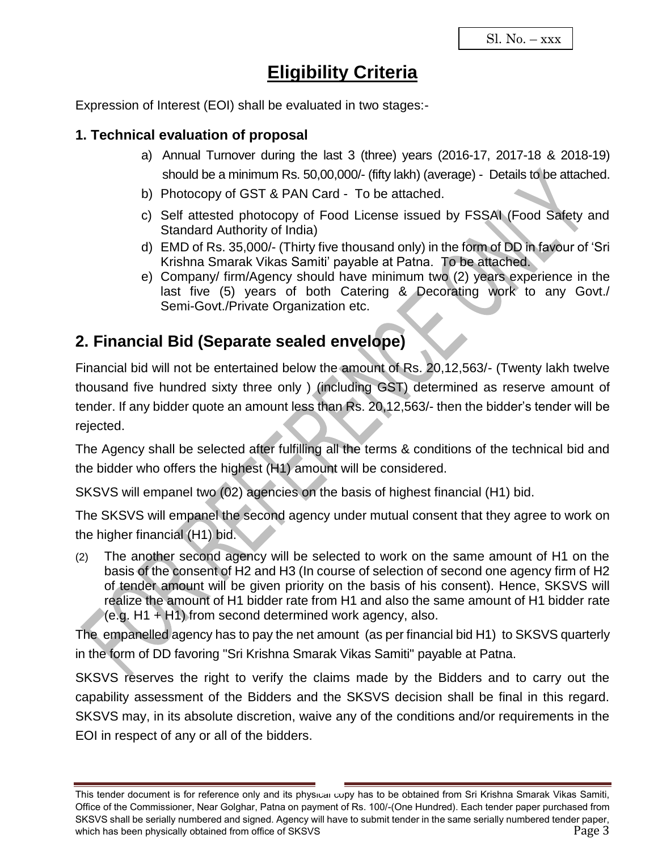## **Eligibility Criteria**

Expression of Interest (EOI) shall be evaluated in two stages:-

### **1. Technical evaluation of proposal**

- a) Annual Turnover during the last 3 (three) years (2016-17, 2017-18 & 2018-19) should be a minimum Rs. 50,00,000/- (fifty lakh) (average) - Details to be attached.
- b) Photocopy of GST & PAN Card To be attached.
- c) Self attested photocopy of Food License issued by FSSAI (Food Safety and Standard Authority of India)
- d) EMD of Rs. 35,000/- (Thirty five thousand only) in the form of DD in favour of 'Sri Krishna Smarak Vikas Samiti' payable at Patna. To be attached.
- e) Company/ firm/Agency should have minimum two (2) years experience in the last five (5) years of both Catering & Decorating work to any Govt./ Semi-Govt./Private Organization etc.

## **2. Financial Bid (Separate sealed envelope)**

Financial bid will not be entertained below the amount of Rs. 20,12,563/- (Twenty lakh twelve thousand five hundred sixty three only ) (including GST) determined as reserve amount of tender. If any bidder quote an amount less than Rs. 20,12,563/- then the bidder's tender will be rejected.

The Agency shall be selected after fulfilling all the terms & conditions of the technical bid and the bidder who offers the highest (H1) amount will be considered.

SKSVS will empanel two (02) agencies on the basis of highest financial (H1) bid.

The SKSVS will empanel the second agency under mutual consent that they agree to work on the higher financial (H1) bid.

(2) The another second agency will be selected to work on the same amount of H1 on the basis of the consent of H2 and H3 (In course of selection of second one agency firm of H2 of tender amount will be given priority on the basis of his consent). Hence, SKSVS will realize the amount of H1 bidder rate from H1 and also the same amount of H1 bidder rate  $(e.g. H1 + H1)$  from second determined work agency, also.

The empanelled agency has to pay the net amount (as per financial bid H1) to SKSVS quarterly in the form of DD favoring "Sri Krishna Smarak Vikas Samiti" payable at Patna.

SKSVS reserves the right to verify the claims made by the Bidders and to carry out the capability assessment of the Bidders and the SKSVS decision shall be final in this regard. SKSVS may, in its absolute discretion, waive any of the conditions and/or requirements in the EOI in respect of any or all of the bidders.

This tender document is for reference only and its physical copy has to be obtained from Sri Krishna Smarak Vikas Samiti, Office of the Commissioner, Near Golghar, Patna on payment of Rs. 100/-(One Hundred). Each tender paper purchased from SKSVS shall be serially numbered and signed. Agency will have to submit tender in the same serially numbered tender paper, which has been physically obtained from office of SKSVS **Page 3** Page 3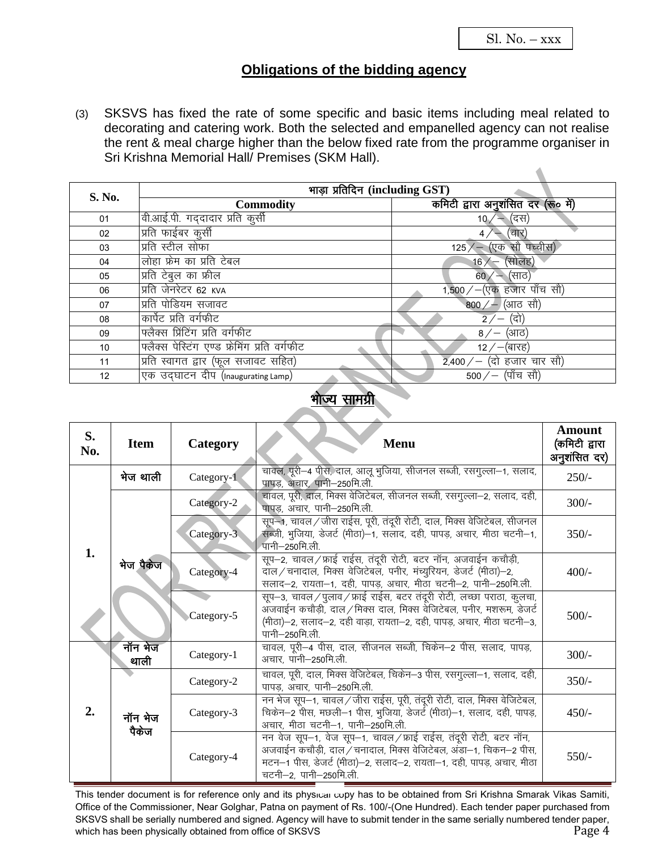$\blacktriangle$ 

### **Obligations of the bidding agency**

(3) SKSVS has fixed the rate of some specific and basic items including meal related to decorating and catering work. Both the selected and empanelled agency can not realise the rent & meal charge higher than the below fixed rate from the programme organiser in Sri Krishna Memorial Hall/ Premises (SKM Hall).

| S. No. | भाड़ा प्रतिदिन (including GST)               |                                                       |  |  |
|--------|----------------------------------------------|-------------------------------------------------------|--|--|
|        | <b>Commodity</b>                             | कमिटी द्वारा अनुशंसित दर (रू० में)                    |  |  |
| 01     | वी.आई.पी. गददादार प्रति कुर्सी               | 10 $/$ — (दस)                                         |  |  |
| 02     | प्रति फाईबर कुर्सी                           | $\leftarrow$ (चार)                                    |  |  |
| 03     | प्रति स्टील सोफा                             | $125/$ (एक सौ पच्चीस)                                 |  |  |
| 04     | लोहा फ्रेम का प्रति टेबल                     | $16/$ (सोलह)                                          |  |  |
| 05     | प्रति टेबुल का फ्रील                         | 60 $/$ – (साठ)                                        |  |  |
| 06     | प्रति जेनरेटर 62 KVA                         | 1,500 / $-(\nabla \Phi \overline{\Phi})$ हजार पाँच सौ |  |  |
| 07     | प्रति पोडियम सजावट                           | 800 $/$ – (आठ सौ)                                     |  |  |
| 08     | कार्पेट प्रति वर्गफीट                        | $2/-$ (दो)                                            |  |  |
| 09     | फ्लैक्स प्रिंटिंग प्रति वर्गफीट              | 8 ⁄ – (आठ)                                            |  |  |
| 10     | फ्लैक्स पेस्टिंग एण्ड फ्रेमिंग प्रति वर्गफीट | 12 $/$ –(बारह)                                        |  |  |
| 11     | प्रति स्वागत द्वार (फूल सजावट सहित)          | 2,400 / – (दो हजार चार सौ)                            |  |  |
| 12     | एक उदघाटन दीप (Inaugurating Lamp)            | 500 $/$ – (पाँच सौ)                                   |  |  |

#### भोज्य सामग्री

| S.<br>No. | <b>Item</b>      | Category   | <b>Menu</b>                                                                                                                                                                                                                          | <b>Amount</b><br>(कमिटी द्वारा<br>अनुशंसित दर) |
|-----------|------------------|------------|--------------------------------------------------------------------------------------------------------------------------------------------------------------------------------------------------------------------------------------|------------------------------------------------|
|           | भेज थाली         | Category-1 | चावल, पूरी-4 पीस, दाल, आलू भुजिया, सीजनल सब्जी, रसगुल्ला-1, सलाद,<br>पापड़, अचार, पानी-250मि.ली.                                                                                                                                     | $250/-$                                        |
|           |                  | Category-2 | चावल, पूरी, दाल, मिक्स वेजिटेबल, सीजनल सब्जी, रसगुल्ला-2, सलाद, दही,<br>पापड, अचार, पानी-250मि.ली.                                                                                                                                   | $300/-$                                        |
| 1.        | भेज पैकेज        | Category-3 | सूप—1, चावल / जीरा राईस, पूरी, तंदूरी रोटी, दाल, मिक्स वेजिटेबल, सीजनल<br>सब्जी, भूजिया, डेजर्ट (मीठा)-1, सलाद, दही, पापड़, अचार, मीठा चटनी-1,<br>′पानी−250मि.ली.                                                                    | $350/-$                                        |
|           |                  | Category-4 | सूप-2, चावल/फ्राई राईस, तंदूरी रोटी, बटर नॉन, अजवाईन कचौड़ी,<br>दाल / चनादाल, मिक्स वेजिटेबल, पनीर, मंच्यूरियन, डेजर्ट (मीठा)-2,<br>सलाद-2, रायता-1, दही, पापड़, अचार, मीठा चटनी-2, पानी-250मि.ली.                                   | $400/-$                                        |
|           |                  | Category-5 | सूप-3, चावल/पुलाव/फ्राई राईस, बटर तंदूरी रोटी, लच्छा पराठा, कुलचा,<br>अजवाईन कचौड़ी, दाल/मिक्स दाल, मिक्स वेजिटेबल, पनीर, मशरूम, डेजर्ट<br>(मीठा)—2, सलाद—2, दही वाड़ा, रायता—2, दही, पापड़, अचार, मीठा चटनी—3,<br>पानी—250मि ली     | $500/-$                                        |
|           | नॉन भेज<br>थाली  | Category-1 | चावल, पूरी-4 पीस, दाल, सीजनल सब्जी, चिकेन-2 पीस, सलाद, पापड़,<br>अचार, पानी-250मि.ली.                                                                                                                                                | $300/-$                                        |
| 2.        | नॉन भेज<br>पैकेज | Category-2 | चावल, पूरी, दाल, मिक्स वेजिटेबल, चिकेन–3 पीस, रसगुल्ला–1, सलाद, दही,<br>पापड़, अचार, पानी-250मि.ली.                                                                                                                                  | $350/-$                                        |
|           |                  | Category-3 | नन भेज सूप-1, चावल / जीरा राईस, पूरी, तंदूरी रोटी, दाल, मिक्स वेजिटेबल,<br>चिकेन-2 पीस, मछली-1 पीस, भुजिया, डेजर्ट (मीठा)-1, सलाद, दही, पापड़,<br>अचार, मीठा चटनी-1, पानी-250मि.ली.                                                  | $450/-$                                        |
|           |                  | Category-4 | नन वेज सूप-1, वेज सूप-1, चावल/फ्राई राईस, तंदूरी रोटी, बटर नॉन,<br>अजवाईन कचौड़ी, दाल / चनादाल, मिक्स वेजिटेबल, अंडा-1, चिकन-2 पीस,<br>मटन–1 पीस, डेजर्ट (मीठा)–2, सलाद–2, रायता–1, दही, पापड़, अचार, मीठा<br>चटनी-2, पानी-250मि.ली. | $550/-$                                        |

This tender document is for reference only and its physical copy has to be obtained from Sri Krishna Smarak Vikas Samiti, Office of the Commissioner, Near Golghar, Patna on payment of Rs. 100/-(One Hundred). Each tender paper purchased from SKSVS shall be serially numbered and signed. Agency will have to submit tender in the same serially numbered tender paper, which has been physically obtained from office of SKSVS **Page 4** and the state of  $\sim$  Page 4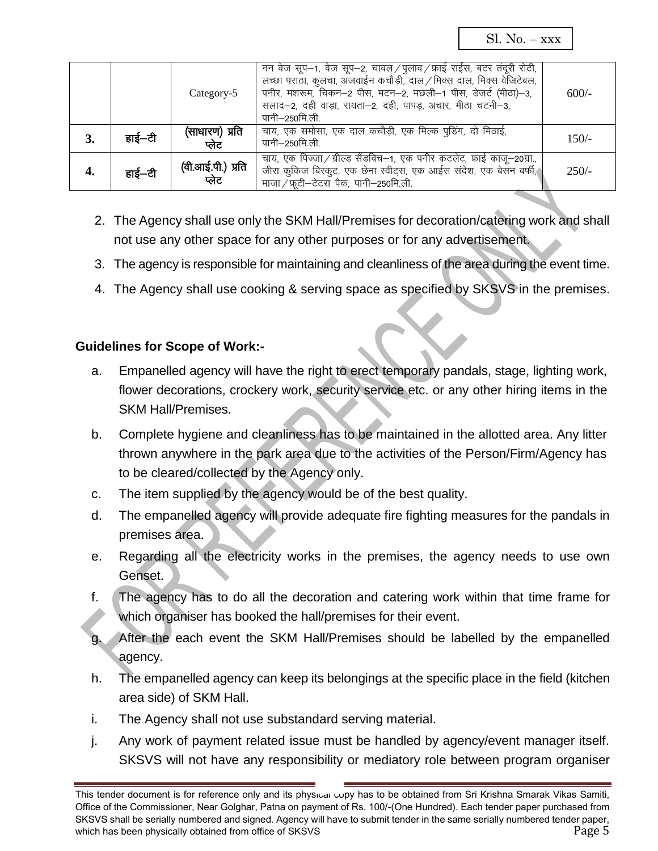Sl.  $No. -xxx$ 

|    |        | Category-5                 | नन वेज सूप–1, वेज सूप–2, चावल/पुलाव/फ्राई राईस, बटर तंदूरी रोटी,<br>लच्छा पराठा, कुलचा, अजवाईन कचौड़ी, दाल / मिक्स दाल, मिक्स वेजिटेबल,<br>पनीर, मशरूम, चिकन-2 पीस, मटन-2, मछली-1 पीस, डेजर्ट (मीठा)-3,<br>सलाद-2, दही वाड़ा, रायता-2, दही, पापड़, अचार, मीठा चटनी-3,<br>पानी–250मि.ली. | $600/-$ |
|----|--------|----------------------------|-----------------------------------------------------------------------------------------------------------------------------------------------------------------------------------------------------------------------------------------------------------------------------------------|---------|
| 3. | हाई—टी | (साधारण) प्रति<br>प्लेट    | चाय, एक समोसा, एक दाल कचौड़ी, एक मिल्क पूडिंग, दो मिठाई,<br>पानी–250मि.ली.                                                                                                                                                                                                              | $150/-$ |
| 4. | हाई–टी | (वी.आई.पी.) प्रति<br>प्लेट | चाय, एक पिज्जा / ग्रील्ड सैंडविच-1, एक पनीर कटलेट, फ्राई काजू-20ग्रा.,<br>जीरा कुकिज बिस्कुट, एक छेना स्वीट्स, एक आईस संदेश, एक बेसन बर्फी,<br>माजा / फ़ूटी-टेटरा पैक, पानी-250मि.ली.                                                                                                   | $250/-$ |

- 2. The Agency shall use only the SKM Hall/Premises for decoration/catering work and shall not use any other space for any other purposes or for any advertisement.
- 3. The agency is responsible for maintaining and cleanliness of the area during the event time.
- 4. The Agency shall use cooking & serving space as specified by SKSVS in the premises.

#### **Guidelines for Scope of Work:-**

- a. Empanelled agency will have the right to erect temporary pandals, stage, lighting work, flower decorations, crockery work, security service etc. or any other hiring items in the SKM Hall/Premises.
- b. Complete hygiene and cleanliness has to be maintained in the allotted area. Any litter thrown anywhere in the park area due to the activities of the Person/Firm/Agency has to be cleared/collected by the Agency only.
- c. The item supplied by the agency would be of the best quality.
- d. The empanelled agency will provide adequate fire fighting measures for the pandals in premises area.
- e. Regarding all the electricity works in the premises, the agency needs to use own Genset.
- f. The agency has to do all the decoration and catering work within that time frame for which organiser has booked the hall/premises for their event.
- g. After the each event the SKM Hall/Premises should be labelled by the empanelled agency.
- h. The empanelled agency can keep its belongings at the specific place in the field (kitchen area side) of SKM Hall.
- i. The Agency shall not use substandard serving material.
- j. Any work of payment related issue must be handled by agency/event manager itself. SKSVS will not have any responsibility or mediatory role between program organiser

This tender document is for reference only and its physical copy has to be obtained from Sri Krishna Smarak Vikas Samiti. Office of the Commissioner, Near Golghar, Patna on payment of Rs. 100/-(One Hundred). Each tender paper purchased from SKSVS shall be serially numbered and signed. Agency will have to submit tender in the same serially numbered tender paper, which has been physically obtained from office of SKSVS **Page 5** Page 5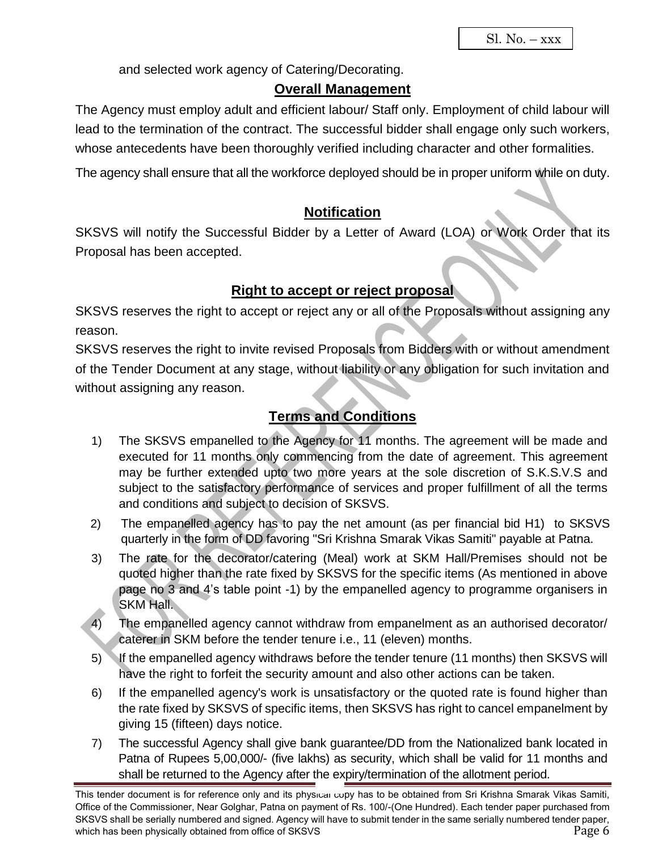and selected work agency of Catering/Decorating.

#### **Overall Management**

The Agency must employ adult and efficient labour/ Staff only. Employment of child labour will lead to the termination of the contract. The successful bidder shall engage only such workers, whose antecedents have been thoroughly verified including character and other formalities.

The agency shall ensure that all the workforce deployed should be in proper uniform while on duty.

## **Notification**

SKSVS will notify the Successful Bidder by a Letter of Award (LOA) or Work Order that its Proposal has been accepted.

### **Right to accept or reject proposal**

SKSVS reserves the right to accept or reject any or all of the Proposals without assigning any reason.

SKSVS reserves the right to invite revised Proposals from Bidders with or without amendment of the Tender Document at any stage, without liability or any obligation for such invitation and without assigning any reason.

## **Terms and Conditions**

- 1) The SKSVS empanelled to the Agency for 11 months. The agreement will be made and executed for 11 months only commencing from the date of agreement. This agreement may be further extended upto two more years at the sole discretion of S.K.S.V.S and subject to the satisfactory performance of services and proper fulfillment of all the terms and conditions and subject to decision of SKSVS.
- 2) The empanelled agency has to pay the net amount (as per financial bid H1) to SKSVS quarterly in the form of DD favoring "Sri Krishna Smarak Vikas Samiti" payable at Patna.
- 3) The rate for the decorator/catering (Meal) work at SKM Hall/Premises should not be quoted higher than the rate fixed by SKSVS for the specific items (As mentioned in above page no 3 and 4's table point -1) by the empanelled agency to programme organisers in SKM Hall.
- 4) The empanelled agency cannot withdraw from empanelment as an authorised decorator/ caterer in SKM before the tender tenure i.e., 11 (eleven) months.
- 5) If the empanelled agency withdraws before the tender tenure (11 months) then SKSVS will have the right to forfeit the security amount and also other actions can be taken.
- 6) If the empanelled agency's work is unsatisfactory or the quoted rate is found higher than the rate fixed by SKSVS of specific items, then SKSVS has right to cancel empanelment by giving 15 (fifteen) days notice.
- 7) The successful Agency shall give bank guarantee/DD from the Nationalized bank located in Patna of Rupees 5,00,000/- (five lakhs) as security, which shall be valid for 11 months and shall be returned to the Agency after the expiry/termination of the allotment period.

This tender document is for reference only and its physical copy has to be obtained from Sri Krishna Smarak Vikas Samiti, Office of the Commissioner, Near Golghar, Patna on payment of Rs. 100/-(One Hundred). Each tender paper purchased from SKSVS shall be serially numbered and signed. Agency will have to submit tender in the same serially numbered tender paper, which has been physically obtained from office of SKSVS **Page 6** Page 6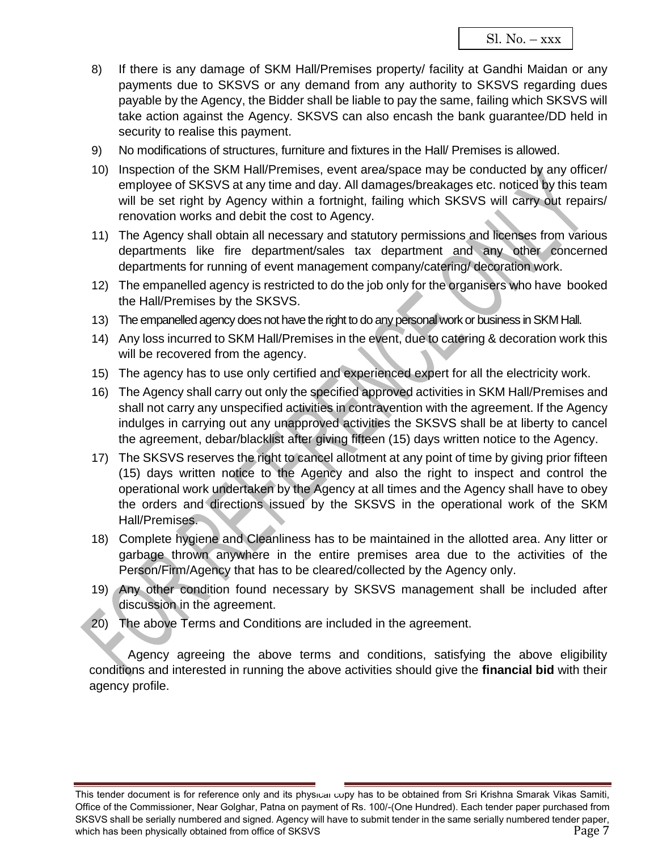- 8) If there is any damage of SKM Hall/Premises property/ facility at Gandhi Maidan or any payments due to SKSVS or any demand from any authority to SKSVS regarding dues payable by the Agency, the Bidder shall be liable to pay the same, failing which SKSVS will take action against the Agency. SKSVS can also encash the bank guarantee/DD held in security to realise this payment.
- 9) No modifications of structures, furniture and fixtures in the Hall/ Premises is allowed.
- 10) Inspection of the SKM Hall/Premises, event area/space may be conducted by any officer/ employee of SKSVS at any time and day. All damages/breakages etc. noticed by this team will be set right by Agency within a fortnight, failing which SKSVS will carry out repairs/ renovation works and debit the cost to Agency.
- 11) The Agency shall obtain all necessary and statutory permissions and licenses from various departments like fire department/sales tax department and any other concerned departments for running of event management company/catering/ decoration work.
- 12) The empanelled agency is restricted to do the job only for the organisers who have booked the Hall/Premises by the SKSVS.
- 13) The empanelled agency does not have the right to do any personal work or business in SKM Hall.
- 14) Any loss incurred to SKM Hall/Premises in the event, due to catering & decoration work this will be recovered from the agency.
- 15) The agency has to use only certified and experienced expert for all the electricity work.
- 16) The Agency shall carry out only the specified approved activities in SKM Hall/Premises and shall not carry any unspecified activities in contravention with the agreement. If the Agency indulges in carrying out any unapproved activities the SKSVS shall be at liberty to cancel the agreement, debar/blacklist after giving fifteen (15) days written notice to the Agency.
- 17) The SKSVS reserves the right to cancel allotment at any point of time by giving prior fifteen (15) days written notice to the Agency and also the right to inspect and control the operational work undertaken by the Agency at all times and the Agency shall have to obey the orders and directions issued by the SKSVS in the operational work of the SKM Hall/Premises.
- 18) Complete hygiene and Cleanliness has to be maintained in the allotted area. Any litter or garbage thrown anywhere in the entire premises area due to the activities of the Person/Firm/Agency that has to be cleared/collected by the Agency only.
- 19) Any other condition found necessary by SKSVS management shall be included after discussion in the agreement.
- 20) The above Terms and Conditions are included in the agreement.

Agency agreeing the above terms and conditions, satisfying the above eligibility conditions and interested in running the above activities should give the **financial bid** with their agency profile.

This tender document is for reference only and its physical copy has to be obtained from Sri Krishna Smarak Vikas Samiti, Office of the Commissioner, Near Golghar, Patna on payment of Rs. 100/-(One Hundred). Each tender paper purchased from SKSVS shall be serially numbered and signed. Agency will have to submit tender in the same serially numbered tender paper, which has been physically obtained from office of SKSVS **Page 7** and the state of  $\sim$  Page 7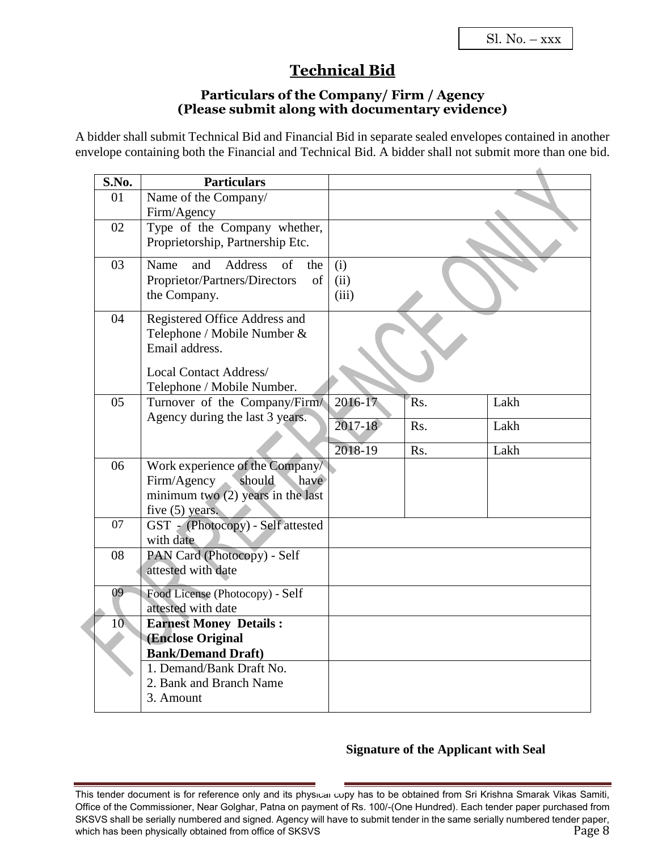## **Technical Bid**

#### **Particulars of the Company/ Firm / Agency (Please submit along with documentary evidence)**

A bidder shall submit Technical Bid and Financial Bid in separate sealed envelopes contained in another envelope containing both the Financial and Technical Bid. A bidder shall not submit more than one bid.

| S.No.           | <b>Particulars</b>                             |         |                  |      |
|-----------------|------------------------------------------------|---------|------------------|------|
| 01              | Name of the Company/                           |         |                  |      |
|                 | Firm/Agency                                    |         |                  |      |
| 02              | Type of the Company whether,                   |         |                  |      |
|                 | Proprietorship, Partnership Etc.               |         |                  |      |
| 03              | Address<br>Name<br>and<br>$\sigma$ f<br>the    | (i)     |                  |      |
|                 | Proprietor/Partners/Directors<br>of            | (ii)    |                  |      |
|                 | the Company.                                   | (iii)   |                  |      |
| 04              | Registered Office Address and                  |         |                  |      |
|                 | Telephone / Mobile Number &                    |         |                  |      |
|                 | Email address.                                 |         |                  |      |
|                 | <b>Local Contact Address/</b>                  |         |                  |      |
|                 | Telephone / Mobile Number.                     |         |                  |      |
| 05              | Turnover of the Company/Firm/                  | 2016-17 | R <sub>s</sub> . | Lakh |
|                 | Agency during the last 3 years.                |         |                  |      |
|                 |                                                | 2017-18 | Rs.              | Lakh |
|                 |                                                | 2018-19 | Rs.              | Lakh |
| 06              | Work experience of the Company/                |         |                  |      |
|                 | should<br>Firm/Agency<br>have                  |         |                  |      |
|                 | minimum two $(2)$ years in the last            |         |                  |      |
|                 | five $(5)$ years.                              |         |                  |      |
| 07              | GST - (Photocopy) - Self attested              |         |                  |      |
| 08              | with date<br>PAN Card (Photocopy) - Self       |         |                  |      |
|                 | attested with date                             |         |                  |      |
|                 |                                                |         |                  |      |
| 09              | Food License (Photocopy) - Self                |         |                  |      |
|                 | attested with date                             |         |                  |      |
| 10 <sup>°</sup> | <b>Earnest Money Details:</b>                  |         |                  |      |
|                 | (Enclose Original<br><b>Bank/Demand Draft)</b> |         |                  |      |
|                 | 1. Demand/Bank Draft No.                       |         |                  |      |
|                 | 2. Bank and Branch Name                        |         |                  |      |
|                 | 3. Amount                                      |         |                  |      |
|                 |                                                |         |                  |      |

#### **Signature of the Applicant with Seal**

This tender document is for reference only and its physical copy has to be obtained from Sri Krishna Smarak Vikas Samiti, Office of the Commissioner, Near Golghar, Patna on payment of Rs. 100/-(One Hundred). Each tender paper purchased from SKSVS shall be serially numbered and signed. Agency will have to submit tender in the same serially numbered tender paper, which has been physically obtained from office of SKSVS **Page 8** Page 8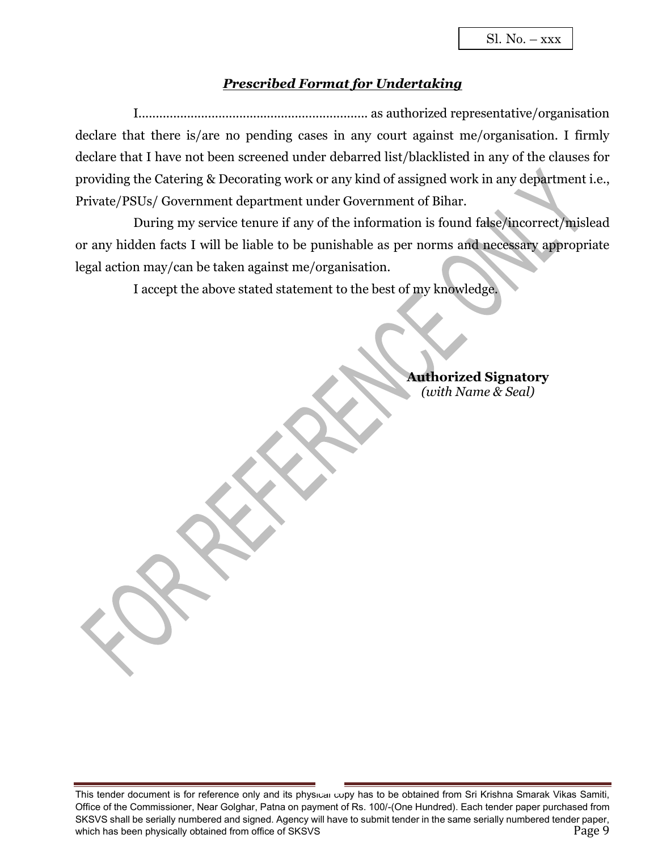#### *Prescribed Format for Undertaking*

I.................................................................. as authorized representative/organisation declare that there is/are no pending cases in any court against me/organisation. I firmly declare that I have not been screened under debarred list/blacklisted in any of the clauses for providing the Catering & Decorating work or any kind of assigned work in any department i.e., Private/PSUs/ Government department under Government of Bihar.

During my service tenure if any of the information is found false/incorrect/mislead or any hidden facts I will be liable to be punishable as per norms and necessary appropriate legal action may/can be taken against me/organisation.

I accept the above stated statement to the best of my knowledge.

**Authorized Signatory** *(with Name & Seal)*

This tender document is for reference only and its physical copy has to be obtained from Sri Krishna Smarak Vikas Samiti, Office of the Commissioner, Near Golghar, Patna on payment of Rs. 100/-(One Hundred). Each tender paper purchased from SKSVS shall be serially numbered and signed. Agency will have to submit tender in the same serially numbered tender paper, which has been physically obtained from office of SKSVS **Page 9** Page 9